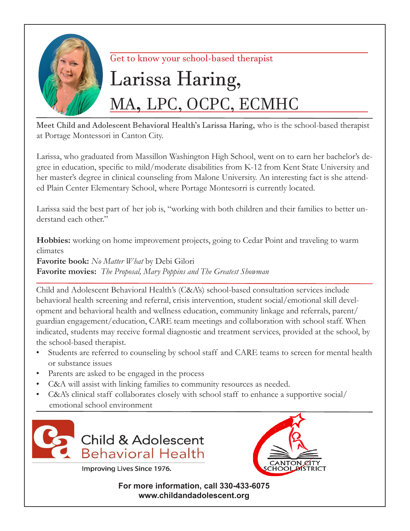

# Get to know your school-based therapist

# Larissa Haring, MA, LPC, OCPC, ECMHC

Meet Child and Adolescent Behavioral Health's Larissa Haring, who is the school-based therapist at Portage Montessori in Canton City.

Larissa, who graduated from Massillon Washington High School, went on to earn her bachelor's degree in education, specific to mild/moderate disabilities from K-12 from Kent State University and her master's degree in clinical counseling from Malone University. An interesting fact is she attended Plain Center Elementary School, where Portage Montesorri is currently located.

Larissa said the best part of her job is, "working with both children and their families to better understand each other."

**Hobbies:** working on home improvement projects, going to Cedar Point and traveling to warm climates

**Favorite book:** *No Matter What* by Debi Gilori **Favorite movies:** *The Proposal, Mary Poppins and The Greatest Showman*

Child and Adolescent Behavioral Health's (C&A's) school-based consultation services include behavioral health screening and referral, crisis intervention, student social/emotional skill development and behavioral health and wellness education, community linkage and referrals, parent/ guardian engagement/education, CARE team meetings and collaboration with school staff. When indicated, students may receive formal diagnostic and treatment services, provided at the school, by the school-based therapist.

- Students are referred to counseling by school staff and CARE teams to screen for mental health or substance issues
- Parents are asked to be engaged in the process
- C&A will assist with linking families to community resources as needed.
- C&A's clinical staff collaborates closely with school staff to enhance a supportive social/ emotional school environment





**For more information, call 330-433-6075 www.childandadolescent.org**